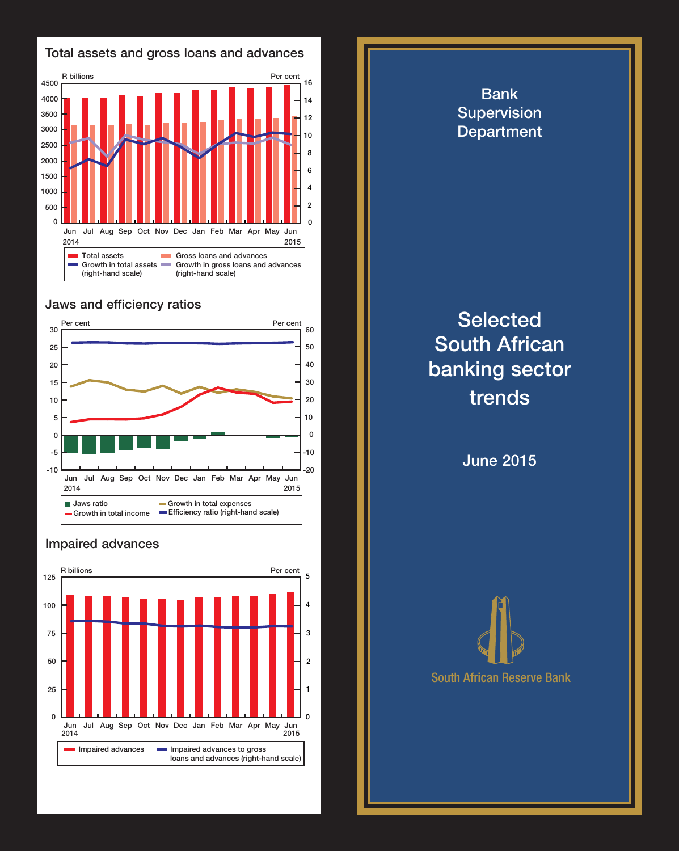

## Jaws and efficiency ratios



## Impaired advances



**Department Selected** South African banking sector trends

Bank Supervision